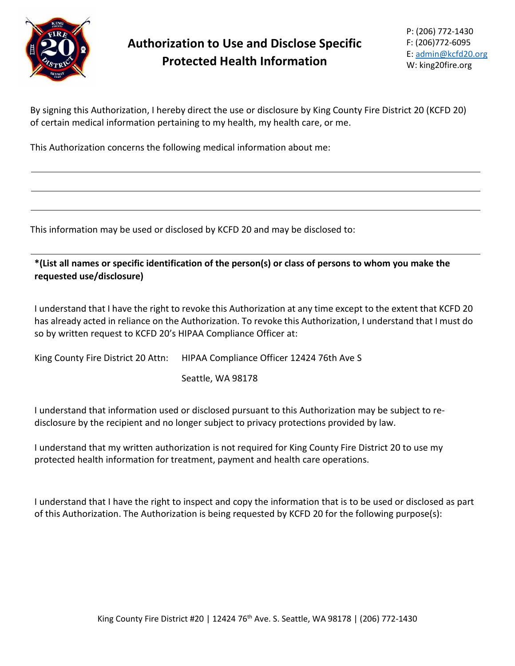

## **Authorization to Use and Disclose Specific Protected Health Information**

P: (206) 772-1430 F: (206)772-6095 E: [admin@kcfd20.org](mailto:admin@kcfd20.org) W: king20fire.org

By signing this Authorization, I hereby direct the use or disclosure by King County Fire District 20 (KCFD 20) of certain medical information pertaining to my health, my health care, or me.

This Authorization concerns the following medical information about me:

This information may be used or disclosed by KCFD 20 and may be disclosed to:

**\*(List all names or specific identification of the person(s) or class of persons to whom you make the requested use/disclosure)**

I understand that I have the right to revoke this Authorization at any time except to the extent that KCFD 20 has already acted in reliance on the Authorization. To revoke this Authorization, I understand that I must do so by written request to KCFD 20's HIPAA Compliance Officer at:

King County Fire District 20 Attn: HIPAA Compliance Officer 12424 76th Ave S

Seattle, WA 98178

I understand that information used or disclosed pursuant to this Authorization may be subject to redisclosure by the recipient and no longer subject to privacy protections provided by law.

I understand that my written authorization is not required for King County Fire District 20 to use my protected health information for treatment, payment and health care operations.

I understand that I have the right to inspect and copy the information that is to be used or disclosed as part of this Authorization. The Authorization is being requested by KCFD 20 for the following purpose(s):